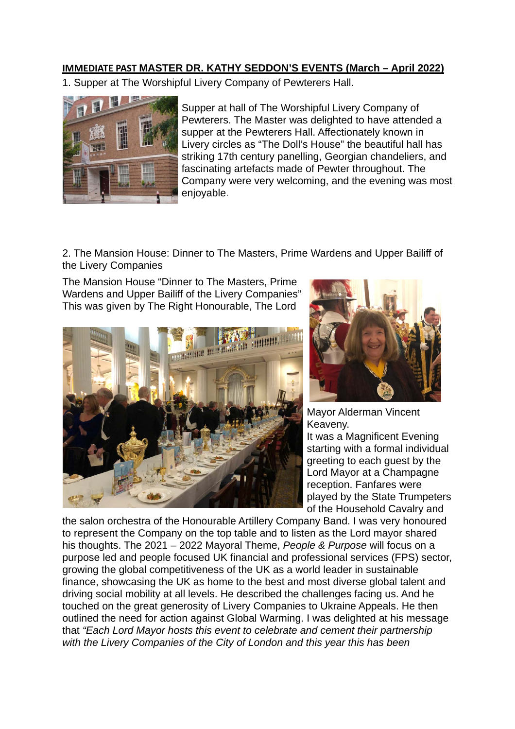## **IMMEDIATE PAST MASTER DR. KATHY SEDDON'S EVENTS (March – April 2022)**

1. Supper at The Worshipful Livery Company of Pewterers Hall.



Supper at hall of The Worshipful Livery Company of Pewterers. The Master was delighted to have attended a supper at the Pewterers Hall. Affectionately known in Livery circles as "The Doll's House" the beautiful hall has striking 17th century panelling, Georgian chandeliers, and fascinating artefacts made of Pewter throughout. The Company were very welcoming, and the evening was most enjoyable.

2. The Mansion House: Dinner to The Masters, Prime Wardens and Upper Bailiff of the Livery Companies

The Mansion House "Dinner to The Masters, Prime Wardens and Upper Bailiff of the Livery Companies" This was given by The Right Honourable, The Lord





Mayor Alderman Vincent Keaveny.

It was a Magnificent Evening starting with a formal individual greeting to each guest by the Lord Mayor at a Champagne reception. Fanfares were played by the State Trumpeters of the Household Cavalry and

the salon orchestra of the Honourable Artillery Company Band. I was very honoured to represent the Company on the top table and to listen as the Lord mayor shared his thoughts. The 2021 – 2022 Mayoral Theme, *People & Purpose* will focus on a purpose led and people focused UK financial and professional services (FPS) sector, growing the global competitiveness of the UK as a world leader in sustainable finance, showcasing the UK as home to the best and most diverse global talent and driving social mobility at all levels. He described the challenges facing us. And he touched on the great generosity of Livery Companies to Ukraine Appeals. He then outlined the need for action against Global Warming. I was delighted at his message that *"Each Lord Mayor hosts this event to celebrate and cement their partnership with the Livery Companies of the City of London and this year this has been*